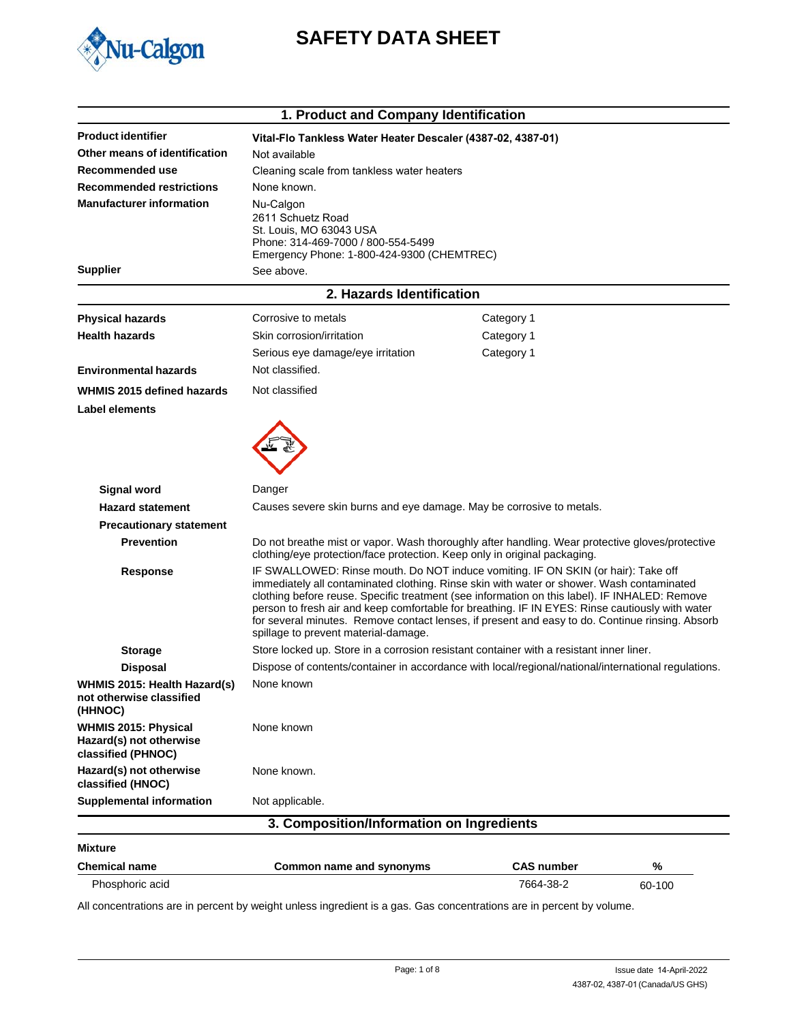

# **SAFETY DATA SHEET**

| 1. Product and Company Identification                                        |                                                                                                                                                                                                                                                                                                                                                                                                                                                                                                                               |                   |        |  |
|------------------------------------------------------------------------------|-------------------------------------------------------------------------------------------------------------------------------------------------------------------------------------------------------------------------------------------------------------------------------------------------------------------------------------------------------------------------------------------------------------------------------------------------------------------------------------------------------------------------------|-------------------|--------|--|
| <b>Product identifier</b>                                                    | Vital-Flo Tankless Water Heater Descaler (4387-02, 4387-01)                                                                                                                                                                                                                                                                                                                                                                                                                                                                   |                   |        |  |
| Other means of identification                                                | Not available                                                                                                                                                                                                                                                                                                                                                                                                                                                                                                                 |                   |        |  |
| Recommended use                                                              | Cleaning scale from tankless water heaters                                                                                                                                                                                                                                                                                                                                                                                                                                                                                    |                   |        |  |
| <b>Recommended restrictions</b>                                              | None known.                                                                                                                                                                                                                                                                                                                                                                                                                                                                                                                   |                   |        |  |
| <b>Manufacturer information</b>                                              | Nu-Calgon<br>2611 Schuetz Road<br>St. Louis, MO 63043 USA<br>Phone: 314-469-7000 / 800-554-5499<br>Emergency Phone: 1-800-424-9300 (CHEMTREC)                                                                                                                                                                                                                                                                                                                                                                                 |                   |        |  |
| <b>Supplier</b>                                                              | See above.                                                                                                                                                                                                                                                                                                                                                                                                                                                                                                                    |                   |        |  |
|                                                                              | 2. Hazards Identification                                                                                                                                                                                                                                                                                                                                                                                                                                                                                                     |                   |        |  |
| <b>Physical hazards</b>                                                      | Corrosive to metals                                                                                                                                                                                                                                                                                                                                                                                                                                                                                                           | Category 1        |        |  |
| <b>Health hazards</b>                                                        | Skin corrosion/irritation                                                                                                                                                                                                                                                                                                                                                                                                                                                                                                     | Category 1        |        |  |
|                                                                              | Serious eye damage/eye irritation                                                                                                                                                                                                                                                                                                                                                                                                                                                                                             | Category 1        |        |  |
| <b>Environmental hazards</b>                                                 | Not classified.                                                                                                                                                                                                                                                                                                                                                                                                                                                                                                               |                   |        |  |
| WHMIS 2015 defined hazards                                                   | Not classified                                                                                                                                                                                                                                                                                                                                                                                                                                                                                                                |                   |        |  |
| <b>Label elements</b>                                                        |                                                                                                                                                                                                                                                                                                                                                                                                                                                                                                                               |                   |        |  |
| <b>Signal word</b>                                                           | Danger                                                                                                                                                                                                                                                                                                                                                                                                                                                                                                                        |                   |        |  |
| <b>Hazard statement</b>                                                      | Causes severe skin burns and eye damage. May be corrosive to metals.                                                                                                                                                                                                                                                                                                                                                                                                                                                          |                   |        |  |
| <b>Precautionary statement</b>                                               |                                                                                                                                                                                                                                                                                                                                                                                                                                                                                                                               |                   |        |  |
| <b>Prevention</b>                                                            | Do not breathe mist or vapor. Wash thoroughly after handling. Wear protective gloves/protective<br>clothing/eye protection/face protection. Keep only in original packaging.                                                                                                                                                                                                                                                                                                                                                  |                   |        |  |
| Response                                                                     | IF SWALLOWED: Rinse mouth. Do NOT induce vomiting. IF ON SKIN (or hair): Take off<br>immediately all contaminated clothing. Rinse skin with water or shower. Wash contaminated<br>clothing before reuse. Specific treatment (see information on this label). IF INHALED: Remove<br>person to fresh air and keep comfortable for breathing. IF IN EYES: Rinse cautiously with water<br>for several minutes. Remove contact lenses, if present and easy to do. Continue rinsing. Absorb<br>spillage to prevent material-damage. |                   |        |  |
| <b>Storage</b>                                                               | Store locked up. Store in a corrosion resistant container with a resistant inner liner.                                                                                                                                                                                                                                                                                                                                                                                                                                       |                   |        |  |
| <b>Disposal</b>                                                              | Dispose of contents/container in accordance with local/regional/national/international regulations.                                                                                                                                                                                                                                                                                                                                                                                                                           |                   |        |  |
| WHMIS 2015: Health Hazard(s)<br>not otherwise classified<br>(HHNOC)          | None known                                                                                                                                                                                                                                                                                                                                                                                                                                                                                                                    |                   |        |  |
| <b>WHMIS 2015: Physical</b><br>Hazard(s) not otherwise<br>classified (PHNOC) | None known                                                                                                                                                                                                                                                                                                                                                                                                                                                                                                                    |                   |        |  |
| Hazard(s) not otherwise<br>classified (HNOC)                                 | None known.                                                                                                                                                                                                                                                                                                                                                                                                                                                                                                                   |                   |        |  |
| <b>Supplemental information</b>                                              | Not applicable.                                                                                                                                                                                                                                                                                                                                                                                                                                                                                                               |                   |        |  |
|                                                                              | 3. Composition/Information on Ingredients                                                                                                                                                                                                                                                                                                                                                                                                                                                                                     |                   |        |  |
| <b>Mixture</b>                                                               |                                                                                                                                                                                                                                                                                                                                                                                                                                                                                                                               |                   |        |  |
| <b>Chemical name</b>                                                         | Common name and synonyms                                                                                                                                                                                                                                                                                                                                                                                                                                                                                                      | <b>CAS number</b> | %      |  |
| Phosphoric acid                                                              |                                                                                                                                                                                                                                                                                                                                                                                                                                                                                                                               | 7664-38-2         | 60-100 |  |

All concentrations are in percent by weight unless ingredient is a gas. Gas concentrations are in percent by volume.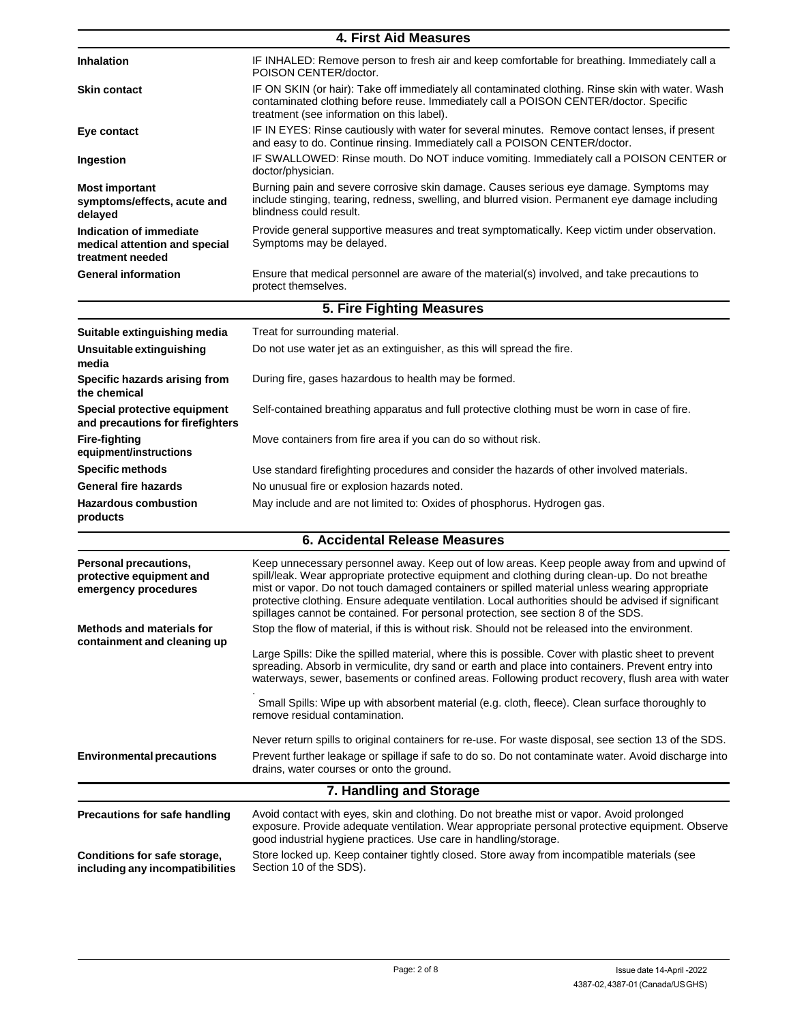| <b>4. First Aid Measures</b>                                                 |                                                                                                                                                                                                                                          |  |
|------------------------------------------------------------------------------|------------------------------------------------------------------------------------------------------------------------------------------------------------------------------------------------------------------------------------------|--|
| <b>Inhalation</b>                                                            | IF INHALED: Remove person to fresh air and keep comfortable for breathing. Immediately call a<br>POISON CENTER/doctor.                                                                                                                   |  |
| <b>Skin contact</b>                                                          | IF ON SKIN (or hair): Take off immediately all contaminated clothing. Rinse skin with water. Wash<br>contaminated clothing before reuse. Immediately call a POISON CENTER/doctor. Specific<br>treatment (see information on this label). |  |
| Eye contact                                                                  | IF IN EYES: Rinse cautiously with water for several minutes. Remove contact lenses, if present<br>and easy to do. Continue rinsing. Immediately call a POISON CENTER/doctor.                                                             |  |
| Ingestion                                                                    | IF SWALLOWED: Rinse mouth. Do NOT induce vomiting. Immediately call a POISON CENTER or<br>doctor/physician.                                                                                                                              |  |
| <b>Most important</b><br>symptoms/effects, acute and<br>delayed              | Burning pain and severe corrosive skin damage. Causes serious eye damage. Symptoms may<br>include stinging, tearing, redness, swelling, and blurred vision. Permanent eye damage including<br>blindness could result.                    |  |
| Indication of immediate<br>medical attention and special<br>treatment needed | Provide general supportive measures and treat symptomatically. Keep victim under observation.<br>Symptoms may be delayed.                                                                                                                |  |
| <b>General information</b>                                                   | Ensure that medical personnel are aware of the material(s) involved, and take precautions to<br>protect themselves.                                                                                                                      |  |
|                                                                              | 5. Fire Fighting Measures                                                                                                                                                                                                                |  |
| Suitable extinguishing media                                                 | Treat for surrounding material.                                                                                                                                                                                                          |  |
| Unsuitable extinguishing                                                     | Do not use water jet as an extinguisher, as this will spread the fire.                                                                                                                                                                   |  |

| Suitable extinguishing media                                     | Treat for surrounding material.                                                               |
|------------------------------------------------------------------|-----------------------------------------------------------------------------------------------|
| Unsuitable extinguishing<br>media                                | Do not use water jet as an extinguisher, as this will spread the fire.                        |
| Specific hazards arising from<br>the chemical                    | During fire, gases hazardous to health may be formed.                                         |
| Special protective equipment<br>and precautions for firefighters | Self-contained breathing apparatus and full protective clothing must be worn in case of fire. |
| Fire-fighting<br>equipment/instructions                          | Move containers from fire area if you can do so without risk.                                 |
| <b>Specific methods</b>                                          | Use standard firefighting procedures and consider the hazards of other involved materials.    |
| <b>General fire hazards</b>                                      | No unusual fire or explosion hazards noted.                                                   |
| <b>Hazardous combustion</b><br>products                          | May include and are not limited to: Oxides of phosphorus. Hydrogen gas.                       |

## **6. Accidental Release Measures**

| Personal precautions,<br>protective equipment and<br>emergency procedures | Keep unnecessary personnel away. Keep out of low areas. Keep people away from and upwind of<br>spill/leak. Wear appropriate protective equipment and clothing during clean-up. Do not breathe<br>mist or vapor. Do not touch damaged containers or spilled material unless wearing appropriate<br>protective clothing. Ensure adequate ventilation. Local authorities should be advised if significant<br>spillages cannot be contained. For personal protection, see section 8 of the SDS.                                                            |  |
|---------------------------------------------------------------------------|--------------------------------------------------------------------------------------------------------------------------------------------------------------------------------------------------------------------------------------------------------------------------------------------------------------------------------------------------------------------------------------------------------------------------------------------------------------------------------------------------------------------------------------------------------|--|
| <b>Methods and materials for</b><br>containment and cleaning up           | Stop the flow of material, if this is without risk. Should not be released into the environment.<br>Large Spills: Dike the spilled material, where this is possible. Cover with plastic sheet to prevent<br>spreading. Absorb in vermiculite, dry sand or earth and place into containers. Prevent entry into<br>waterways, sewer, basements or confined areas. Following product recovery, flush area with water<br>Small Spills: Wipe up with absorbent material (e.g. cloth, fleece). Clean surface thoroughly to<br>remove residual contamination. |  |
| <b>Environmental precautions</b>                                          | Never return spills to original containers for re-use. For waste disposal, see section 13 of the SDS.<br>Prevent further leakage or spillage if safe to do so. Do not contaminate water. Avoid discharge into<br>drains, water courses or onto the ground.                                                                                                                                                                                                                                                                                             |  |
| 7. Handling and Storage                                                   |                                                                                                                                                                                                                                                                                                                                                                                                                                                                                                                                                        |  |
| Precautions for safe handling                                             | Avoid contact with eyes, skin and clothing. Do not breathe mist or vapor. Avoid prolonged<br>exposure. Provide adequate ventilation. Wear appropriate personal protective equipment. Observe<br>good industrial hygiene practices. Use care in handling/storage.                                                                                                                                                                                                                                                                                       |  |
| Conditions for safe storage,                                              | Store locked up. Keep container tightly closed. Store away from incompatible materials (see                                                                                                                                                                                                                                                                                                                                                                                                                                                            |  |

**Conditions for safe storage, including any incompatibilities** Section 10 of the SDS).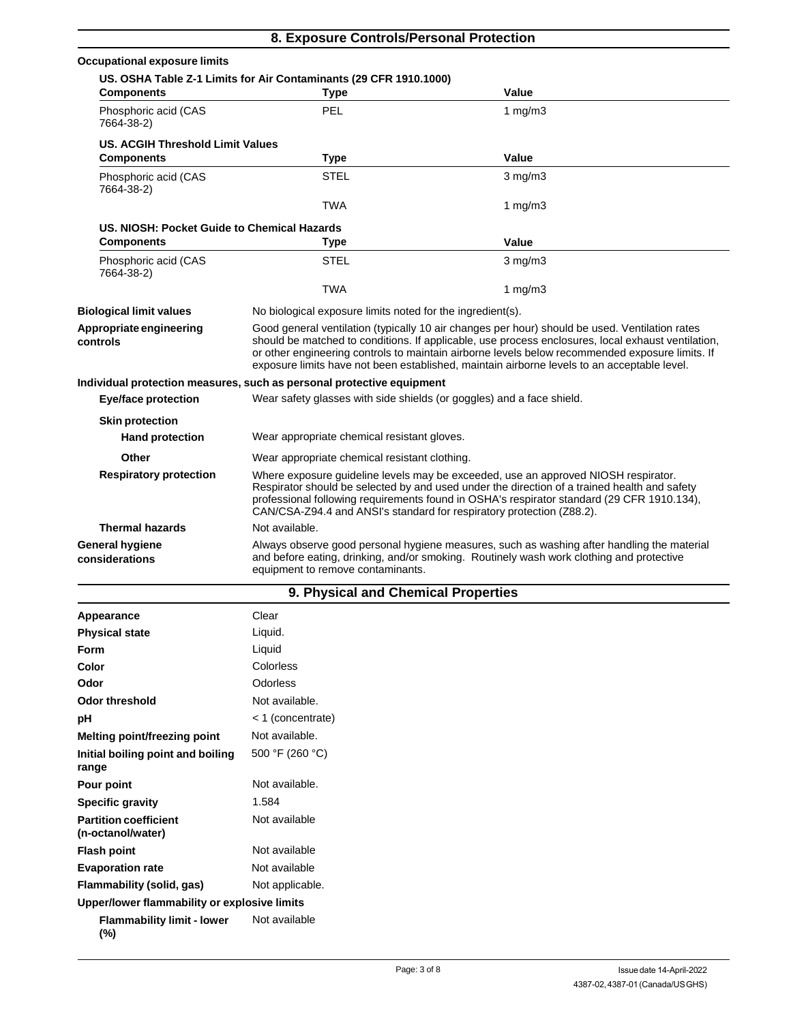| 8. Exposure Controls/Personal Protection    |                                                                                                                                                                                                                                                                                                                                                                                                        |              |  |
|---------------------------------------------|--------------------------------------------------------------------------------------------------------------------------------------------------------------------------------------------------------------------------------------------------------------------------------------------------------------------------------------------------------------------------------------------------------|--------------|--|
| <b>Occupational exposure limits</b>         |                                                                                                                                                                                                                                                                                                                                                                                                        |              |  |
|                                             | US. OSHA Table Z-1 Limits for Air Contaminants (29 CFR 1910.1000)                                                                                                                                                                                                                                                                                                                                      |              |  |
| <b>Components</b>                           | <b>Type</b>                                                                                                                                                                                                                                                                                                                                                                                            | Value        |  |
| Phosphoric acid (CAS<br>7664-38-2)          | PEL                                                                                                                                                                                                                                                                                                                                                                                                    | 1 $mg/m3$    |  |
| <b>US. ACGIH Threshold Limit Values</b>     |                                                                                                                                                                                                                                                                                                                                                                                                        |              |  |
| <b>Components</b>                           | <b>Type</b>                                                                                                                                                                                                                                                                                                                                                                                            | Value        |  |
| Phosphoric acid (CAS<br>7664-38-2)          | <b>STEL</b>                                                                                                                                                                                                                                                                                                                                                                                            | $3$ mg/m $3$ |  |
|                                             | <b>TWA</b>                                                                                                                                                                                                                                                                                                                                                                                             | 1 $mg/m3$    |  |
| US. NIOSH: Pocket Guide to Chemical Hazards |                                                                                                                                                                                                                                                                                                                                                                                                        |              |  |
| <b>Components</b>                           | <b>Type</b>                                                                                                                                                                                                                                                                                                                                                                                            | Value        |  |
| Phosphoric acid (CAS<br>7664-38-2)          | <b>STEL</b>                                                                                                                                                                                                                                                                                                                                                                                            | $3$ mg/m $3$ |  |
|                                             | <b>TWA</b>                                                                                                                                                                                                                                                                                                                                                                                             | $1$ mg/m $3$ |  |
| <b>Biological limit values</b>              | No biological exposure limits noted for the ingredient(s).                                                                                                                                                                                                                                                                                                                                             |              |  |
| Appropriate engineering<br>controls         | Good general ventilation (typically 10 air changes per hour) should be used. Ventilation rates<br>should be matched to conditions. If applicable, use process enclosures, local exhaust ventilation,<br>or other engineering controls to maintain airborne levels below recommended exposure limits. If<br>exposure limits have not been established, maintain airborne levels to an acceptable level. |              |  |
|                                             | Individual protection measures, such as personal protective equipment                                                                                                                                                                                                                                                                                                                                  |              |  |
| <b>Eye/face protection</b>                  | Wear safety glasses with side shields (or goggles) and a face shield.                                                                                                                                                                                                                                                                                                                                  |              |  |
| <b>Skin protection</b>                      |                                                                                                                                                                                                                                                                                                                                                                                                        |              |  |
| <b>Hand protection</b>                      | Wear appropriate chemical resistant gloves.                                                                                                                                                                                                                                                                                                                                                            |              |  |
| Other                                       | Wear appropriate chemical resistant clothing.                                                                                                                                                                                                                                                                                                                                                          |              |  |
| <b>Respiratory protection</b>               | Where exposure guideline levels may be exceeded, use an approved NIOSH respirator.<br>Respirator should be selected by and used under the direction of a trained health and safety<br>professional following requirements found in OSHA's respirator standard (29 CFR 1910.134),<br>CAN/CSA-Z94.4 and ANSI's standard for respiratory protection (Z88.2).                                              |              |  |
| <b>Thermal hazards</b>                      | Not available.                                                                                                                                                                                                                                                                                                                                                                                         |              |  |
| <b>General hygiene</b><br>considerations    | Always observe good personal hygiene measures, such as washing after handling the material<br>and before eating, drinking, and/or smoking. Routinely wash work clothing and protective<br>equipment to remove contaminants.                                                                                                                                                                            |              |  |

## **9. Physical and Chemical Properties**

| Appearance                                        | Clear             |
|---------------------------------------------------|-------------------|
| <b>Physical state</b>                             | Liquid.           |
| Form                                              | Liquid            |
| Color                                             | Colorless         |
| Odor                                              | <b>Odorless</b>   |
| Odor threshold                                    | Not available.    |
| pH                                                | < 1 (concentrate) |
| Melting point/freezing point                      | Not available.    |
| Initial boiling point and boiling<br>range        | 500 °F (260 °C)   |
| Pour point                                        | Not available.    |
| <b>Specific gravity</b>                           | 1.584             |
| <b>Partition coefficient</b><br>(n-octanol/water) | Not available     |
| <b>Flash point</b>                                | Not available     |
| <b>Evaporation rate</b>                           | Not available     |
| Flammability (solid, gas)                         | Not applicable.   |
| Upper/lower flammability or explosive limits      |                   |
| <b>Flammability limit - lower</b><br>$(\%)$       | Not available     |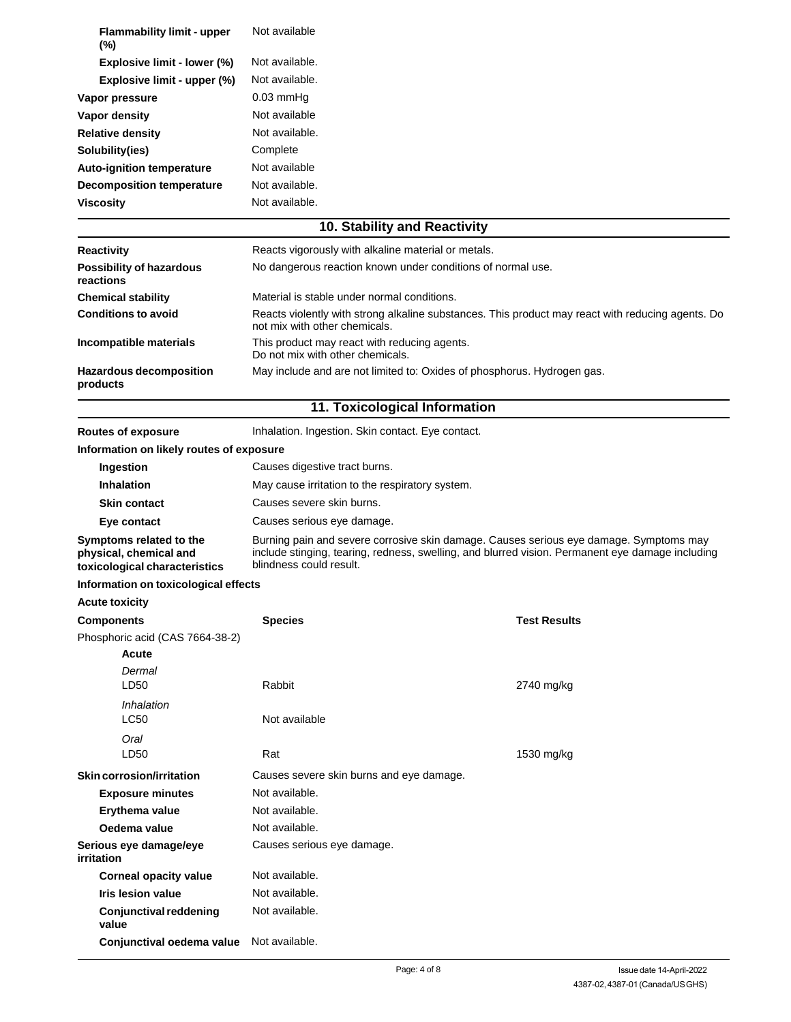| <b>Flammability limit - upper</b><br>$(\% )$ | Not available  |
|----------------------------------------------|----------------|
| Explosive limit - lower (%)                  | Not available. |
| Explosive limit - upper (%)                  | Not available. |
| Vapor pressure                               | $0.03$ mmHq    |
| Vapor density                                | Not available  |
| <b>Relative density</b>                      | Not available. |
| Solubility(ies)                              | Complete       |
| <b>Auto-ignition temperature</b>             | Not available  |
| <b>Decomposition temperature</b>             | Not available. |
| <b>Viscosity</b>                             | Not available. |

## **10. Stability and Reactivity**

| <b>Reactivity</b>                            | Reacts vigorously with alkaline material or metals.                                                                                |  |
|----------------------------------------------|------------------------------------------------------------------------------------------------------------------------------------|--|
| <b>Possibility of hazardous</b><br>reactions | No dangerous reaction known under conditions of normal use.                                                                        |  |
| <b>Chemical stability</b>                    | Material is stable under normal conditions.                                                                                        |  |
| <b>Conditions to avoid</b>                   | Reacts violently with strong alkaline substances. This product may react with reducing agents. Do<br>not mix with other chemicals. |  |
| Incompatible materials                       | This product may react with reducing agents.<br>Do not mix with other chemicals.                                                   |  |
| <b>Hazardous decomposition</b><br>products   | May include and are not limited to: Oxides of phosphorus. Hydrogen gas.                                                            |  |

## **11. Toxicological Information**

**Routes of exposure Inhalation. Ingestion. Skin contact. Eye contact.** 

#### **Information on likely routes of exposure**

| Ingestion                                                                          | Causes digestive tract burns.                                                                                                                                                                                         |
|------------------------------------------------------------------------------------|-----------------------------------------------------------------------------------------------------------------------------------------------------------------------------------------------------------------------|
| Inhalation                                                                         | May cause irritation to the respiratory system.                                                                                                                                                                       |
| <b>Skin contact</b>                                                                | Causes severe skin burns.                                                                                                                                                                                             |
| Eye contact                                                                        | Causes serious eye damage.                                                                                                                                                                                            |
| Symptoms related to the<br>physical, chemical and<br>toxicological characteristics | Burning pain and severe corrosive skin damage. Causes serious eye damage. Symptoms may<br>include stinging, tearing, redness, swelling, and blurred vision. Permanent eye damage including<br>blindness could result. |

### **Information on toxicological effects**

#### **Acute toxicity**

| <b>Components</b>                    | <b>Species</b>                           | <b>Test Results</b> |
|--------------------------------------|------------------------------------------|---------------------|
| Phosphoric acid (CAS 7664-38-2)      |                                          |                     |
| Acute<br>Dermal<br>LD50              | Rabbit                                   | 2740 mg/kg          |
| Inhalation<br><b>LC50</b>            | Not available                            |                     |
| Oral<br>LD <sub>50</sub>             | Rat                                      | 1530 mg/kg          |
| Skin corrosion/irritation            | Causes severe skin burns and eye damage. |                     |
| <b>Exposure minutes</b>              | Not available.                           |                     |
| Erythema value                       | Not available.                           |                     |
| Oedema value                         | Not available.                           |                     |
| Serious eye damage/eye<br>irritation | Causes serious eye damage.               |                     |
| Corneal opacity value                | Not available.                           |                     |
| Iris lesion value                    | Not available.                           |                     |
| Conjunctival reddening<br>value      | Not available.                           |                     |
| Conjunctival oedema value            | Not available.                           |                     |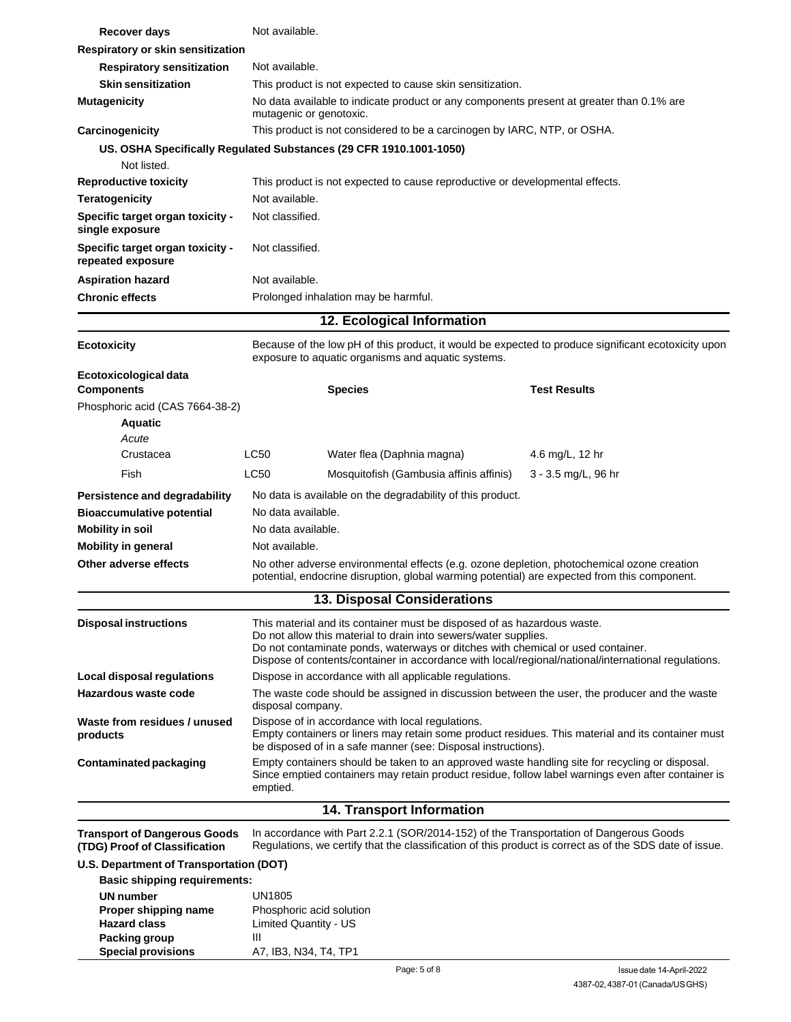| Recover days                                                                                                    |                                                                                                                                                                                                                                                                                                                                      | Not available.                                                                                                                                                                                       |                                                                                                                                                                                                  |  |
|-----------------------------------------------------------------------------------------------------------------|--------------------------------------------------------------------------------------------------------------------------------------------------------------------------------------------------------------------------------------------------------------------------------------------------------------------------------------|------------------------------------------------------------------------------------------------------------------------------------------------------------------------------------------------------|--------------------------------------------------------------------------------------------------------------------------------------------------------------------------------------------------|--|
| Respiratory or skin sensitization                                                                               |                                                                                                                                                                                                                                                                                                                                      |                                                                                                                                                                                                      |                                                                                                                                                                                                  |  |
| <b>Respiratory sensitization</b>                                                                                | Not available.                                                                                                                                                                                                                                                                                                                       |                                                                                                                                                                                                      |                                                                                                                                                                                                  |  |
| <b>Skin sensitization</b>                                                                                       |                                                                                                                                                                                                                                                                                                                                      | This product is not expected to cause skin sensitization.                                                                                                                                            |                                                                                                                                                                                                  |  |
| <b>Mutagenicity</b>                                                                                             |                                                                                                                                                                                                                                                                                                                                      | No data available to indicate product or any components present at greater than 0.1% are<br>mutagenic or genotoxic.                                                                                  |                                                                                                                                                                                                  |  |
| Carcinogenicity                                                                                                 |                                                                                                                                                                                                                                                                                                                                      | This product is not considered to be a carcinogen by IARC, NTP, or OSHA.                                                                                                                             |                                                                                                                                                                                                  |  |
|                                                                                                                 |                                                                                                                                                                                                                                                                                                                                      | US. OSHA Specifically Regulated Substances (29 CFR 1910.1001-1050)                                                                                                                                   |                                                                                                                                                                                                  |  |
| Not listed.                                                                                                     |                                                                                                                                                                                                                                                                                                                                      |                                                                                                                                                                                                      |                                                                                                                                                                                                  |  |
| <b>Reproductive toxicity</b>                                                                                    |                                                                                                                                                                                                                                                                                                                                      | This product is not expected to cause reproductive or developmental effects.                                                                                                                         |                                                                                                                                                                                                  |  |
| <b>Teratogenicity</b>                                                                                           | Not available.                                                                                                                                                                                                                                                                                                                       |                                                                                                                                                                                                      |                                                                                                                                                                                                  |  |
| Specific target organ toxicity -<br>single exposure                                                             | Not classified.                                                                                                                                                                                                                                                                                                                      |                                                                                                                                                                                                      |                                                                                                                                                                                                  |  |
| Specific target organ toxicity -<br>repeated exposure                                                           | Not classified.                                                                                                                                                                                                                                                                                                                      |                                                                                                                                                                                                      |                                                                                                                                                                                                  |  |
| <b>Aspiration hazard</b>                                                                                        | Not available.                                                                                                                                                                                                                                                                                                                       |                                                                                                                                                                                                      |                                                                                                                                                                                                  |  |
| <b>Chronic effects</b>                                                                                          |                                                                                                                                                                                                                                                                                                                                      | Prolonged inhalation may be harmful.                                                                                                                                                                 |                                                                                                                                                                                                  |  |
|                                                                                                                 |                                                                                                                                                                                                                                                                                                                                      | 12. Ecological Information                                                                                                                                                                           |                                                                                                                                                                                                  |  |
| <b>Ecotoxicity</b>                                                                                              |                                                                                                                                                                                                                                                                                                                                      | exposure to aquatic organisms and aquatic systems.                                                                                                                                                   | Because of the low pH of this product, it would be expected to produce significant ecotoxicity upon                                                                                              |  |
| Ecotoxicological data                                                                                           |                                                                                                                                                                                                                                                                                                                                      |                                                                                                                                                                                                      |                                                                                                                                                                                                  |  |
| <b>Components</b>                                                                                               |                                                                                                                                                                                                                                                                                                                                      | <b>Species</b>                                                                                                                                                                                       | <b>Test Results</b>                                                                                                                                                                              |  |
| Phosphoric acid (CAS 7664-38-2)                                                                                 |                                                                                                                                                                                                                                                                                                                                      |                                                                                                                                                                                                      |                                                                                                                                                                                                  |  |
| <b>Aquatic</b>                                                                                                  |                                                                                                                                                                                                                                                                                                                                      |                                                                                                                                                                                                      |                                                                                                                                                                                                  |  |
| Acute                                                                                                           |                                                                                                                                                                                                                                                                                                                                      |                                                                                                                                                                                                      |                                                                                                                                                                                                  |  |
| Crustacea                                                                                                       | LC50                                                                                                                                                                                                                                                                                                                                 | Water flea (Daphnia magna)                                                                                                                                                                           | 4.6 mg/L, 12 hr                                                                                                                                                                                  |  |
| Fish                                                                                                            | LC50                                                                                                                                                                                                                                                                                                                                 | Mosquitofish (Gambusia affinis affinis)                                                                                                                                                              | 3 - 3.5 mg/L, 96 hr                                                                                                                                                                              |  |
| Persistence and degradability                                                                                   |                                                                                                                                                                                                                                                                                                                                      | No data is available on the degradability of this product.                                                                                                                                           |                                                                                                                                                                                                  |  |
| <b>Bioaccumulative potential</b>                                                                                | No data available.                                                                                                                                                                                                                                                                                                                   |                                                                                                                                                                                                      |                                                                                                                                                                                                  |  |
| <b>Mobility in soil</b>                                                                                         | No data available.                                                                                                                                                                                                                                                                                                                   |                                                                                                                                                                                                      |                                                                                                                                                                                                  |  |
| <b>Mobility in general</b>                                                                                      | Not available.                                                                                                                                                                                                                                                                                                                       |                                                                                                                                                                                                      |                                                                                                                                                                                                  |  |
| Other adverse effects                                                                                           |                                                                                                                                                                                                                                                                                                                                      | No other adverse environmental effects (e.g. ozone depletion, photochemical ozone creation<br>potential, endocrine disruption, global warming potential) are expected from this component.           |                                                                                                                                                                                                  |  |
|                                                                                                                 |                                                                                                                                                                                                                                                                                                                                      | 13. Disposal Considerations                                                                                                                                                                          |                                                                                                                                                                                                  |  |
| <b>Disposal instructions</b>                                                                                    | This material and its container must be disposed of as hazardous waste.<br>Do not allow this material to drain into sewers/water supplies.<br>Do not contaminate ponds, waterways or ditches with chemical or used container.<br>Dispose of contents/container in accordance with local/regional/national/international regulations. |                                                                                                                                                                                                      |                                                                                                                                                                                                  |  |
| Local disposal regulations                                                                                      |                                                                                                                                                                                                                                                                                                                                      | Dispose in accordance with all applicable regulations.                                                                                                                                               |                                                                                                                                                                                                  |  |
| Hazardous waste code                                                                                            |                                                                                                                                                                                                                                                                                                                                      | The waste code should be assigned in discussion between the user, the producer and the waste<br>disposal company.                                                                                    |                                                                                                                                                                                                  |  |
| Waste from residues / unused<br>products                                                                        | Dispose of in accordance with local regulations.<br>Empty containers or liners may retain some product residues. This material and its container must<br>be disposed of in a safe manner (see: Disposal instructions).                                                                                                               |                                                                                                                                                                                                      |                                                                                                                                                                                                  |  |
| <b>Contaminated packaging</b>                                                                                   | emptied.                                                                                                                                                                                                                                                                                                                             | Empty containers should be taken to an approved waste handling site for recycling or disposal.<br>Since emptied containers may retain product residue, follow label warnings even after container is |                                                                                                                                                                                                  |  |
|                                                                                                                 |                                                                                                                                                                                                                                                                                                                                      | <b>14. Transport Information</b>                                                                                                                                                                     |                                                                                                                                                                                                  |  |
| <b>Transport of Dangerous Goods</b><br>(TDG) Proof of Classification<br>U.S. Department of Transportation (DOT) |                                                                                                                                                                                                                                                                                                                                      |                                                                                                                                                                                                      | In accordance with Part 2.2.1 (SOR/2014-152) of the Transportation of Dangerous Goods<br>Regulations, we certify that the classification of this product is correct as of the SDS date of issue. |  |
| <b>Basic shipping requirements:</b>                                                                             |                                                                                                                                                                                                                                                                                                                                      |                                                                                                                                                                                                      |                                                                                                                                                                                                  |  |

| UN number                 | UN1805                   |
|---------------------------|--------------------------|
| Proper shipping name      | Phosphoric acid solution |
| <b>Hazard class</b>       | Limited Quantity - US    |
| Packing group             | Ш                        |
| <b>Special provisions</b> | A7, IB3, N34, T4, TP1    |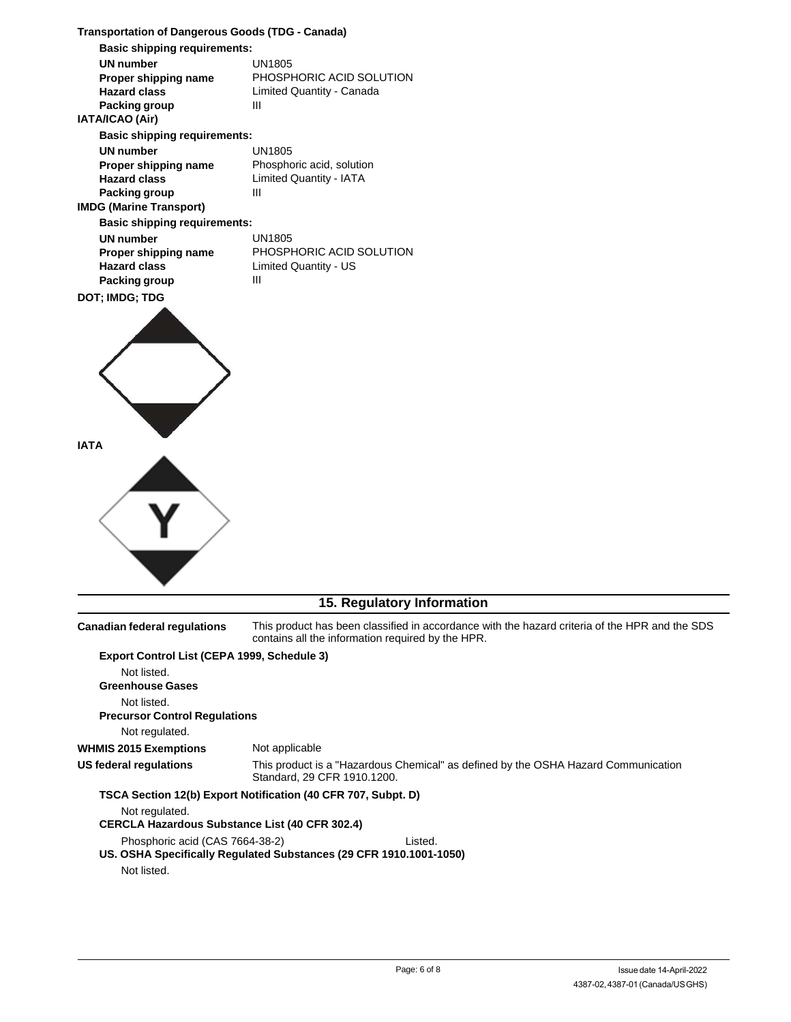| <b>Transportation of Dangerous Goods (TDG - Canada)</b>                                              |                                                                                                                                                     |  |  |
|------------------------------------------------------------------------------------------------------|-----------------------------------------------------------------------------------------------------------------------------------------------------|--|--|
| <b>Basic shipping requirements:</b>                                                                  |                                                                                                                                                     |  |  |
| <b>UN number</b><br>Proper shipping name<br><b>Hazard class</b><br>Packing group<br>IATA/ICAO (Air)  | <b>UN1805</b><br>PHOSPHORIC ACID SOLUTION<br>Limited Quantity - Canada<br>Ш                                                                         |  |  |
| <b>Basic shipping requirements:</b>                                                                  |                                                                                                                                                     |  |  |
| <b>UN number</b><br>Proper shipping name<br><b>Hazard class</b><br>Packing group                     | <b>UN1805</b><br>Phosphoric acid, solution<br><b>Limited Quantity - IATA</b><br>Ш                                                                   |  |  |
| <b>IMDG (Marine Transport)</b>                                                                       |                                                                                                                                                     |  |  |
| <b>Basic shipping requirements:</b>                                                                  |                                                                                                                                                     |  |  |
| <b>UN number</b><br>Proper shipping name<br><b>Hazard class</b><br>Packing group                     | <b>UN1805</b><br>PHOSPHORIC ACID SOLUTION<br>Limited Quantity - US<br>Ш                                                                             |  |  |
| DOT; IMDG; TDG                                                                                       |                                                                                                                                                     |  |  |
| <b>IATA</b>                                                                                          |                                                                                                                                                     |  |  |
|                                                                                                      | 15. Regulatory Information                                                                                                                          |  |  |
| <b>Canadian federal regulations</b>                                                                  | This product has been classified in accordance with the hazard criteria of the HPR and the SDS<br>contains all the information required by the HPR. |  |  |
| Export Control List (CEPA 1999, Schedule 3)<br>Not listed.<br><b>Greenhouse Gases</b><br>Not listed. |                                                                                                                                                     |  |  |
| <b>Precursor Control Regulations</b>                                                                 |                                                                                                                                                     |  |  |
| Not regulated.                                                                                       |                                                                                                                                                     |  |  |
| <b>WHMIS 2015 Exemptions</b>                                                                         | Not applicable                                                                                                                                      |  |  |
| US federal regulations                                                                               | This product is a "Hazardous Chemical" as defined by the OSHA Hazard Communication<br>Standard, 29 CFR 1910.1200.                                   |  |  |
|                                                                                                      | TSCA Section 12(b) Export Notification (40 CFR 707, Subpt. D)                                                                                       |  |  |
| Not regulated.<br><b>CERCLA Hazardous Substance List (40 CFR 302.4)</b>                              |                                                                                                                                                     |  |  |
| Phosphoric acid (CAS 7664-38-2)<br>Not listed.                                                       | Listed.<br>US. OSHA Specifically Regulated Substances (29 CFR 1910.1001-1050)                                                                       |  |  |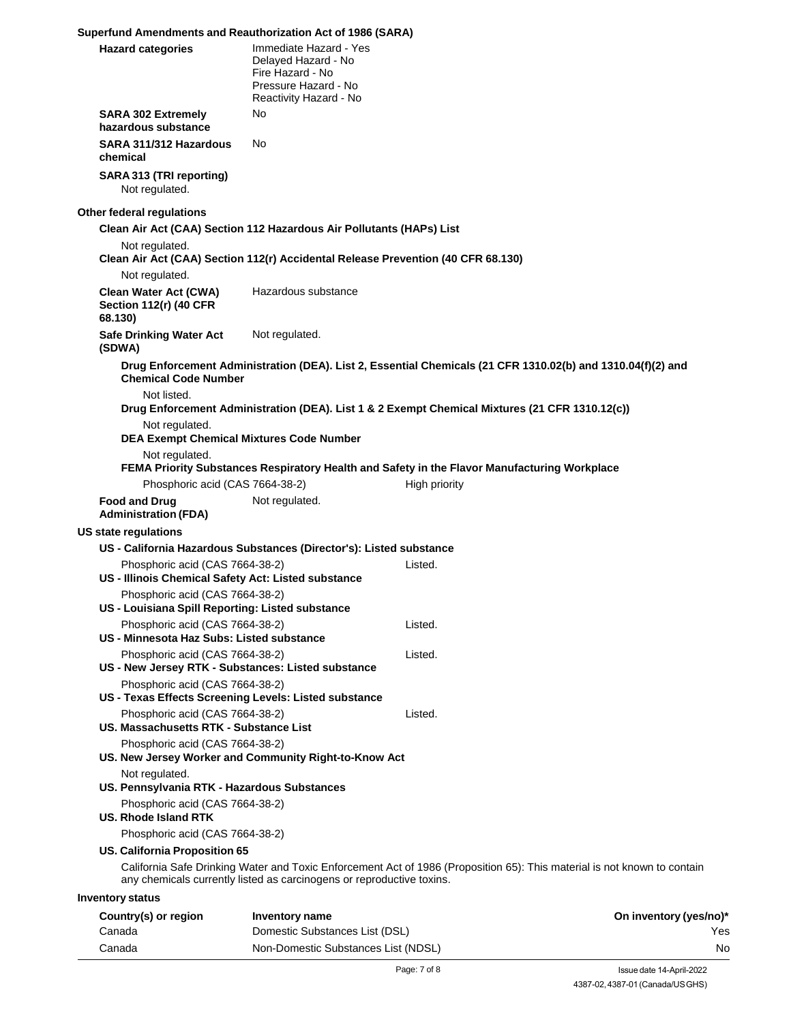#### **Superfund Amendments and Reauthorization Act of 1986 (SARA)**

| <b>Hazard categories</b>                                                                                   | Immediate Hazard - Yes<br>Delayed Hazard - No<br>Fire Hazard - No<br>Pressure Hazard - No<br>Reactivity Hazard - No |                                                                                                                          |                        |
|------------------------------------------------------------------------------------------------------------|---------------------------------------------------------------------------------------------------------------------|--------------------------------------------------------------------------------------------------------------------------|------------------------|
| <b>SARA 302 Extremely</b><br>hazardous substance                                                           | No                                                                                                                  |                                                                                                                          |                        |
| SARA 311/312 Hazardous<br>chemical                                                                         | No.                                                                                                                 |                                                                                                                          |                        |
| SARA 313 (TRI reporting)<br>Not regulated.                                                                 |                                                                                                                     |                                                                                                                          |                        |
| Other federal regulations                                                                                  |                                                                                                                     |                                                                                                                          |                        |
|                                                                                                            | Clean Air Act (CAA) Section 112 Hazardous Air Pollutants (HAPs) List                                                |                                                                                                                          |                        |
| Not regulated.<br>Not regulated.                                                                           | Clean Air Act (CAA) Section 112(r) Accidental Release Prevention (40 CFR 68.130)                                    |                                                                                                                          |                        |
| Clean Water Act (CWA)<br><b>Section 112(r) (40 CFR</b><br>68.130)                                          | Hazardous substance                                                                                                 |                                                                                                                          |                        |
| <b>Safe Drinking Water Act</b><br>(SDWA)                                                                   | Not regulated.                                                                                                      |                                                                                                                          |                        |
| <b>Chemical Code Number</b>                                                                                |                                                                                                                     | Drug Enforcement Administration (DEA). List 2, Essential Chemicals (21 CFR 1310.02(b) and 1310.04(f)(2) and              |                        |
| Not listed.                                                                                                |                                                                                                                     |                                                                                                                          |                        |
| Not regulated.<br><b>DEA Exempt Chemical Mixtures Code Number</b>                                          |                                                                                                                     | Drug Enforcement Administration (DEA). List 1 & 2 Exempt Chemical Mixtures (21 CFR 1310.12(c))                           |                        |
| Not regulated.                                                                                             |                                                                                                                     |                                                                                                                          |                        |
|                                                                                                            |                                                                                                                     | FEMA Priority Substances Respiratory Health and Safety in the Flavor Manufacturing Workplace                             |                        |
| Phosphoric acid (CAS 7664-38-2)                                                                            |                                                                                                                     | High priority                                                                                                            |                        |
| <b>Food and Drug</b><br><b>Administration (FDA)</b>                                                        | Not regulated.                                                                                                      |                                                                                                                          |                        |
| US state regulations                                                                                       |                                                                                                                     |                                                                                                                          |                        |
|                                                                                                            | US - California Hazardous Substances (Director's): Listed substance                                                 |                                                                                                                          |                        |
| Phosphoric acid (CAS 7664-38-2)<br>US - Illinois Chemical Safety Act: Listed substance                     |                                                                                                                     | Listed.                                                                                                                  |                        |
| Phosphoric acid (CAS 7664-38-2)<br>US - Louisiana Spill Reporting: Listed substance                        |                                                                                                                     |                                                                                                                          |                        |
| Phosphoric acid (CAS 7664-38-2)<br>US - Minnesota Haz Subs: Listed substance                               |                                                                                                                     | Listed.                                                                                                                  |                        |
| Phosphoric acid (CAS 7664-38-2)                                                                            |                                                                                                                     | Listed.                                                                                                                  |                        |
| US - New Jersey RTK - Substances: Listed substance                                                         |                                                                                                                     |                                                                                                                          |                        |
| Phosphoric acid (CAS 7664-38-2)<br>US - Texas Effects Screening Levels: Listed substance                   |                                                                                                                     |                                                                                                                          |                        |
| Phosphoric acid (CAS 7664-38-2)<br>US. Massachusetts RTK - Substance List                                  |                                                                                                                     | Listed.                                                                                                                  |                        |
| Phosphoric acid (CAS 7664-38-2)<br>US. New Jersey Worker and Community Right-to-Know Act<br>Not regulated. |                                                                                                                     |                                                                                                                          |                        |
| US. Pennsylvania RTK - Hazardous Substances                                                                |                                                                                                                     |                                                                                                                          |                        |
| Phosphoric acid (CAS 7664-38-2)<br><b>US. Rhode Island RTK</b>                                             |                                                                                                                     |                                                                                                                          |                        |
| Phosphoric acid (CAS 7664-38-2)                                                                            |                                                                                                                     |                                                                                                                          |                        |
| <b>US. California Proposition 65</b>                                                                       |                                                                                                                     |                                                                                                                          |                        |
|                                                                                                            | any chemicals currently listed as carcinogens or reproductive toxins.                                               | California Safe Drinking Water and Toxic Enforcement Act of 1986 (Proposition 65): This material is not known to contain |                        |
| Inventory status                                                                                           |                                                                                                                     |                                                                                                                          |                        |
| Country(s) or region                                                                                       | Inventory name                                                                                                      |                                                                                                                          | On inventory (yes/no)* |
| Canada                                                                                                     | Domestic Substances List (DSL)                                                                                      |                                                                                                                          | Yes                    |
| Canada                                                                                                     | Non-Domestic Substances List (NDSL)                                                                                 |                                                                                                                          | Nc                     |

Yes No